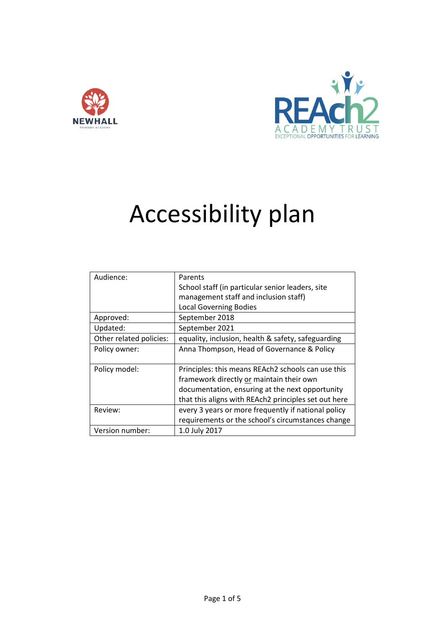



# Accessibility plan

| Audience:               | Parents                                              |  |  |  |
|-------------------------|------------------------------------------------------|--|--|--|
|                         | School staff (in particular senior leaders, site     |  |  |  |
|                         | management staff and inclusion staff)                |  |  |  |
|                         | <b>Local Governing Bodies</b>                        |  |  |  |
| Approved:               | September 2018                                       |  |  |  |
| Updated:                | September 2021                                       |  |  |  |
| Other related policies: | equality, inclusion, health & safety, safeguarding   |  |  |  |
| Policy owner:           | Anna Thompson, Head of Governance & Policy           |  |  |  |
|                         |                                                      |  |  |  |
| Policy model:           | Principles: this means REAch2 schools can use this   |  |  |  |
|                         | framework directly or maintain their own             |  |  |  |
|                         | documentation, ensuring at the next opportunity      |  |  |  |
|                         | that this aligns with REAch2 principles set out here |  |  |  |
| Review:                 | every 3 years or more frequently if national policy  |  |  |  |
|                         | requirements or the school's circumstances change    |  |  |  |
| Version number:         | 1.0 July 2017                                        |  |  |  |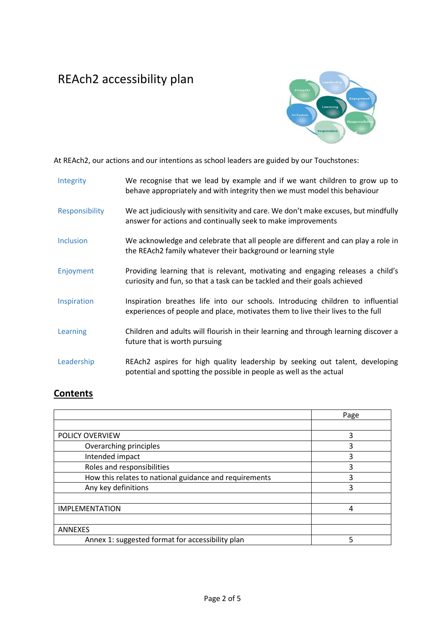## REAch2 accessibility plan



At REAch2, our actions and our intentions as school leaders are guided by our Touchstones:

| Integrity        | We recognise that we lead by example and if we want children to grow up to<br>behave appropriately and with integrity then we must model this behaviour            |
|------------------|--------------------------------------------------------------------------------------------------------------------------------------------------------------------|
| Responsibility   | We act judiciously with sensitivity and care. We don't make excuses, but mindfully<br>answer for actions and continually seek to make improvements                 |
| <b>Inclusion</b> | We acknowledge and celebrate that all people are different and can play a role in<br>the REAch2 family whatever their background or learning style                 |
| Enjoyment        | Providing learning that is relevant, motivating and engaging releases a child's<br>curiosity and fun, so that a task can be tackled and their goals achieved       |
| Inspiration      | Inspiration breathes life into our schools. Introducing children to influential<br>experiences of people and place, motivates them to live their lives to the full |
| Learning         | Children and adults will flourish in their learning and through learning discover a<br>future that is worth pursuing                                               |
| Leadership       | REAch2 aspires for high quality leadership by seeking out talent, developing<br>potential and spotting the possible in people as well as the actual                |

### **Contents**

|                                                        | Page |
|--------------------------------------------------------|------|
|                                                        |      |
| POLICY OVERVIEW                                        | 3    |
| Overarching principles                                 | 3    |
| Intended impact                                        | 3    |
| Roles and responsibilities                             | 3    |
| How this relates to national guidance and requirements | 3    |
| Any key definitions                                    | 3    |
|                                                        |      |
| <b>IMPLEMENTATION</b>                                  | 4    |
|                                                        |      |
| <b>ANNEXES</b>                                         |      |
| Annex 1: suggested format for accessibility plan       | 5    |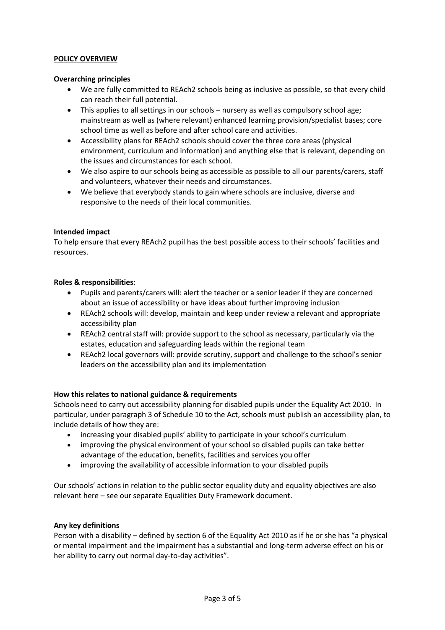#### **POLICY OVERVIEW**

#### **Overarching principles**

- We are fully committed to REAch2 schools being as inclusive as possible, so that every child can reach their full potential.
- This applies to all settings in our schools nursery as well as compulsory school age; mainstream as well as (where relevant) enhanced learning provision/specialist bases; core school time as well as before and after school care and activities.
- Accessibility plans for REAch2 schools should cover the three core areas (physical environment, curriculum and information) and anything else that is relevant, depending on the issues and circumstances for each school.
- We also aspire to our schools being as accessible as possible to all our parents/carers, staff and volunteers, whatever their needs and circumstances.
- We believe that everybody stands to gain where schools are inclusive, diverse and responsive to the needs of their local communities.

#### **Intended impact**

To help ensure that every REAch2 pupil has the best possible access to their schools' facilities and resources.

#### **Roles & responsibilities**:

- Pupils and parents/carers will: alert the teacher or a senior leader if they are concerned about an issue of accessibility or have ideas about further improving inclusion
- REAch2 schools will: develop, maintain and keep under review a relevant and appropriate accessibility plan
- REAch2 central staff will: provide support to the school as necessary, particularly via the estates, education and safeguarding leads within the regional team
- REAch2 local governors will: provide scrutiny, support and challenge to the school's senior leaders on the accessibility plan and its implementation

#### **How this relates to national guidance & requirements**

Schools need to carry out accessibility planning for disabled pupils under the Equality Act 2010. In particular, under paragraph 3 of Schedule 10 to the Act, schools must publish an accessibility plan, to include details of how they are:

- increasing your disabled pupils' ability to participate in your school's curriculum
- improving the physical environment of your school so disabled pupils can take better advantage of the education, benefits, facilities and services you offer
- improving the availability of accessible information to your disabled pupils

Our schools' actions in relation to the public sector equality duty and equality objectives are also relevant here – see our separate Equalities Duty Framework document.

#### **Any key definitions**

Person with a disability – defined by section 6 of the Equality Act 2010 as if he or she has "a physical or mental impairment and the impairment has a substantial and long-term adverse effect on his or her ability to carry out normal day-to-day activities".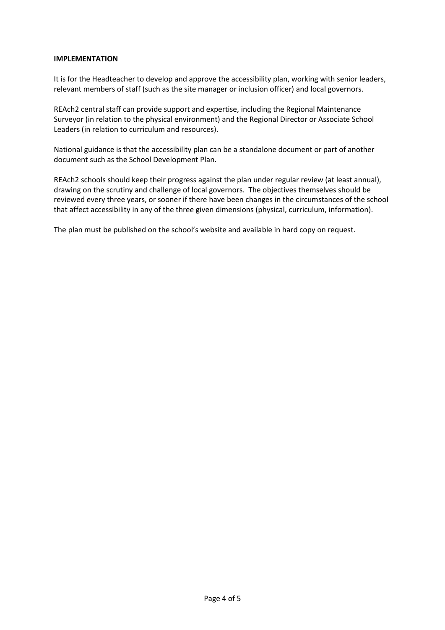#### **IMPLEMENTATION**

It is for the Headteacher to develop and approve the accessibility plan, working with senior leaders, relevant members of staff (such as the site manager or inclusion officer) and local governors.

REAch2 central staff can provide support and expertise, including the Regional Maintenance Surveyor (in relation to the physical environment) and the Regional Director or Associate School Leaders (in relation to curriculum and resources).

National guidance is that the accessibility plan can be a standalone document or part of another document such as the School Development Plan.

REAch2 schools should keep their progress against the plan under regular review (at least annual), drawing on the scrutiny and challenge of local governors. The objectives themselves should be reviewed every three years, or sooner if there have been changes in the circumstances of the school that affect accessibility in any of the three given dimensions (physical, curriculum, information).

The plan must be published on the school's website and available in hard copy on request.